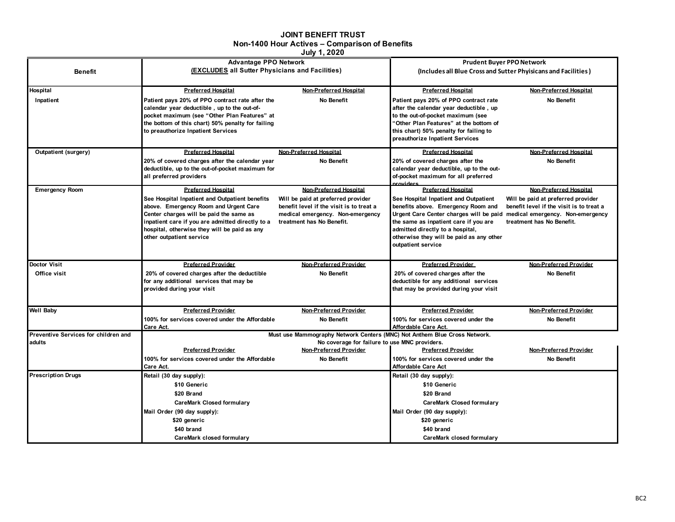## **JOINT BENEFIT TRUST Non-1400 Hour Actives – Comparison of Benefits**

**July 1, 2020**

|                                      | <b>Advantage PPO Network</b>                                                                                               |                                                                              | <b>Prudent Buyer PPO Network</b>                                                                               |                                          |  |  |
|--------------------------------------|----------------------------------------------------------------------------------------------------------------------------|------------------------------------------------------------------------------|----------------------------------------------------------------------------------------------------------------|------------------------------------------|--|--|
| <b>Benefit</b>                       | (EXCLUDES all Sutter Physicians and Facilities)                                                                            |                                                                              | (Includes all Blue Cross and Sutter Phyisicans and Facilities)                                                 |                                          |  |  |
|                                      |                                                                                                                            |                                                                              |                                                                                                                |                                          |  |  |
| Hospital                             | <b>Preferred Hospital</b>                                                                                                  | Non-Preferred Hospital                                                       | <b>Preferred Hospital</b>                                                                                      | Non-Preferred Hospital                   |  |  |
| Inpatient                            | Patient pays 20% of PPO contract rate after the                                                                            | No Benefit                                                                   | Patient pays 20% of PPO contract rate                                                                          | No Benefit                               |  |  |
|                                      | calendar year deductible, up to the out-of-                                                                                |                                                                              | after the calendar year deductible, up                                                                         |                                          |  |  |
|                                      | pocket maximum (see "Other Plan Features" at                                                                               |                                                                              | to the out-of-pocket maximum (see                                                                              |                                          |  |  |
|                                      | the bottom of this chart) 50% penalty for failing                                                                          |                                                                              | 'Other Plan Features" at the bottom of                                                                         |                                          |  |  |
|                                      | to preauthorize Inpatient Services                                                                                         |                                                                              | this chart) 50% penalty for failing to<br>preauthorize Inpatient Services                                      |                                          |  |  |
| <b>Outpatient (surgery)</b>          | <b>Preferred Hospital</b>                                                                                                  | Non-Preferred Hospital                                                       | <b>Preferred Hospital</b>                                                                                      | Non-Preferred Hospital                   |  |  |
|                                      |                                                                                                                            | No Benefit                                                                   |                                                                                                                | No Benefit                               |  |  |
|                                      | 20% of covered charges after the calendar year<br>deductible, up to the out-of-pocket maximum for                          |                                                                              | 20% of covered charges after the<br>calendar year deductible, up to the out-                                   |                                          |  |  |
|                                      | all preferred providers                                                                                                    |                                                                              | of-pocket maximum for all preferred                                                                            |                                          |  |  |
|                                      |                                                                                                                            |                                                                              | <b>providers</b>                                                                                               |                                          |  |  |
| <b>Emergency Room</b>                | <b>Preferred Hospital</b>                                                                                                  | Non-Preferred Hospital                                                       | <b>Preferred Hospital</b>                                                                                      | Non-Preferred Hospital                   |  |  |
|                                      | See Hospital Inpatient and Outpatient benefits                                                                             | Will be paid at preferred provider                                           | See Hospital Inpatient and Outpatient                                                                          | Will be paid at preferred provider       |  |  |
|                                      | above. Emergency Room and Urgent Care<br>Center charges will be paid the same as                                           | benefit level if the visit is to treat a<br>medical emergency. Non-emergency | benefits above. Emergency Room and<br>Urgent Care Center charges will be paid medical emergency. Non-emergency | benefit level if the visit is to treat a |  |  |
|                                      | inpatient care if you are admitted directly to a                                                                           | treatment has No Benefit.                                                    | the same as inpatient care if you are                                                                          | treatment has No Benefit.                |  |  |
|                                      | hospital, otherwise they will be paid as any                                                                               |                                                                              | admitted directly to a hospital,                                                                               |                                          |  |  |
|                                      | other outpatient service                                                                                                   |                                                                              | otherwise they will be paid as any other                                                                       |                                          |  |  |
|                                      |                                                                                                                            |                                                                              | outpatient service                                                                                             |                                          |  |  |
|                                      |                                                                                                                            |                                                                              |                                                                                                                |                                          |  |  |
| Doctor Visit                         | <b>Preferred Provider</b>                                                                                                  | Non-Preferred Provider                                                       | <b>Preferred Provider</b>                                                                                      | Non-Preferred Provider                   |  |  |
| Office visit                         | 20% of covered charges after the deductible                                                                                | No Benefit                                                                   | 20% of covered charges after the                                                                               | No Benefit                               |  |  |
|                                      | for any additional services that may be                                                                                    |                                                                              | deductible for any additional services                                                                         |                                          |  |  |
|                                      | provided during your visit                                                                                                 |                                                                              | that may be provided during your visit                                                                         |                                          |  |  |
|                                      |                                                                                                                            |                                                                              |                                                                                                                |                                          |  |  |
| <b>Well Baby</b>                     | <b>Preferred Provider</b>                                                                                                  | Non-Preferred Provider                                                       | <b>Preferred Provider</b>                                                                                      | Non-Preferred Provider                   |  |  |
|                                      | 100% for services covered under the Affordable                                                                             | No Benefit                                                                   | 100% for services covered under the                                                                            | No Benefit                               |  |  |
| Preventive Services for children and | Care Act.                                                                                                                  |                                                                              | Affordable Care Act.                                                                                           |                                          |  |  |
| adults                               | Must use Mammography Network Centers (MNC) Not Anthem Blue Cross Network.<br>No coverage for failure to use MNC providers. |                                                                              |                                                                                                                |                                          |  |  |
|                                      | <b>Preferred Provider</b>                                                                                                  | Non-Preferred Provider                                                       | <b>Preferred Provider</b>                                                                                      | Non-Preferred Provider                   |  |  |
|                                      | 100% for services covered under the Affordable                                                                             | No Benefit                                                                   | 100% for services covered under the                                                                            | No Benefit                               |  |  |
|                                      | Care Act.                                                                                                                  |                                                                              | <b>Affordable Care Act</b>                                                                                     |                                          |  |  |
| <b>Prescription Drugs</b>            | Retail (30 day supply):                                                                                                    |                                                                              | Retail (30 day supply):                                                                                        |                                          |  |  |
|                                      | \$10 Generic                                                                                                               |                                                                              | \$10 Generic                                                                                                   |                                          |  |  |
|                                      | \$20 Brand                                                                                                                 |                                                                              | \$20 Brand                                                                                                     |                                          |  |  |
|                                      | <b>CareMark Closed formulary</b>                                                                                           |                                                                              | <b>CareMark Closed formulary</b>                                                                               |                                          |  |  |
|                                      | Mail Order (90 day supply):<br>\$20 generic                                                                                |                                                                              | Mail Order (90 day supply):                                                                                    |                                          |  |  |
|                                      |                                                                                                                            |                                                                              | \$20 generic                                                                                                   |                                          |  |  |
|                                      | \$40 brand                                                                                                                 |                                                                              | \$40 brand                                                                                                     |                                          |  |  |
|                                      | CareMark closed formulary                                                                                                  |                                                                              | CareMark closed formulary                                                                                      |                                          |  |  |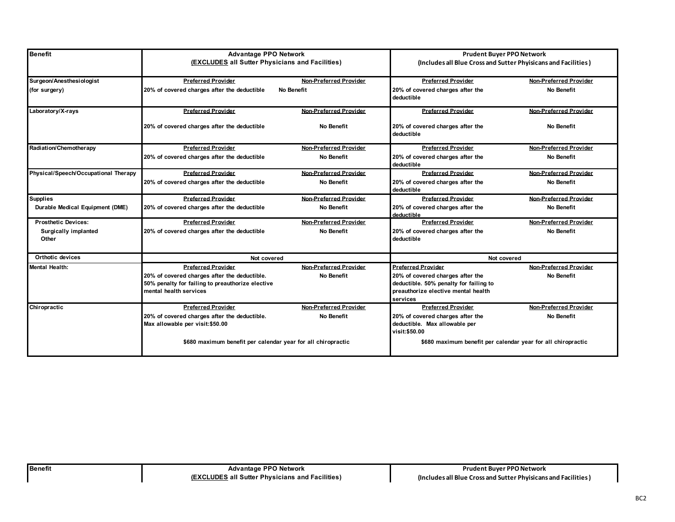| <b>Benefit</b>                       | <b>Advantage PPO Network</b>                                                                                               |                        | <b>Prudent Buyer PPO Network</b>                                                                                              |                                                                |  |
|--------------------------------------|----------------------------------------------------------------------------------------------------------------------------|------------------------|-------------------------------------------------------------------------------------------------------------------------------|----------------------------------------------------------------|--|
|                                      | (EXCLUDES all Sutter Physicians and Facilities)                                                                            |                        |                                                                                                                               | (Includes all Blue Cross and Sutter Phyisicans and Facilities) |  |
| Surgeon/Anesthesiologist             | <b>Preferred Provider</b>                                                                                                  | Non-Preferred Provider | <b>Preferred Provider</b>                                                                                                     | Non-Preferred Provider                                         |  |
| (for surgery)                        | 20% of covered charges after the deductible                                                                                | No Benefit             | 20% of covered charges after the<br>deductible                                                                                | No Benefit                                                     |  |
| Laboratory/X-rays                    | <b>Preferred Provider</b>                                                                                                  | Non-Preferred Provider | <b>Preferred Provider</b>                                                                                                     | Non-Preferred Provider                                         |  |
|                                      | 20% of covered charges after the deductible                                                                                | No Benefit             | 20% of covered charges after the<br>deductible                                                                                | No Benefit                                                     |  |
| Radiation/Chemotherapy               | <b>Preferred Provider</b>                                                                                                  | Non-Preferred Provider | <b>Preferred Provider</b>                                                                                                     | Non-Preferred Provider                                         |  |
|                                      | 20% of covered charges after the deductible                                                                                | No Benefit             | 20% of covered charges after the<br>deductible                                                                                | No Benefit                                                     |  |
| Physical/Speech/Occupational Therapy | <b>Preferred Provider</b>                                                                                                  | Non-Preferred Provider | <b>Preferred Provider</b>                                                                                                     | Non-Preferred Provider                                         |  |
|                                      | 20% of covered charges after the deductible                                                                                | No Benefit             | 20% of covered charges after the<br>deductible                                                                                | No Benefit                                                     |  |
| <b>Supplies</b>                      | <b>Preferred Provider</b>                                                                                                  | Non-Preferred Provider | <b>Preferred Provider</b>                                                                                                     | Non-Preferred Provider                                         |  |
| Durable Medical Equipment (DME)      | 20% of covered charges after the deductible                                                                                | No Benefit             | 20% of covered charges after the<br>deductible                                                                                | No Benefit                                                     |  |
| <b>Prosthetic Devices:</b>           | <b>Preferred Provider</b>                                                                                                  | Non-Preferred Provider | <b>Preferred Provider</b>                                                                                                     | Non-Preferred Provider                                         |  |
| <b>Surgically implanted</b><br>Other | 20% of covered charges after the deductible                                                                                | No Benefit             | 20% of covered charges after the<br>deductible                                                                                | No Benefit                                                     |  |
| Orthotic devices                     | Not covered                                                                                                                |                        | Not covered                                                                                                                   |                                                                |  |
| Mental Health:                       | <b>Preferred Provider</b>                                                                                                  | Non-Preferred Provider | <b>Preferred Provider</b>                                                                                                     | Non-Preferred Provider                                         |  |
|                                      | 20% of covered charges after the deductible.<br>50% penalty for failing to preauthorize elective<br>mental health services | No Benefit             | 20% of covered charges after the<br>deductible. 50% penalty for failing to<br>preauthorize elective mental health<br>services | No Benefit                                                     |  |
| Chiropractic                         | <b>Preferred Provider</b>                                                                                                  | Non-Preferred Provider | <b>Preferred Provider</b>                                                                                                     | Non-Preferred Provider                                         |  |
|                                      | 20% of covered charges after the deductible.<br>Max allowable per visit:\$50.00                                            | No Benefit             | 20% of covered charges after the<br>deductible. Max allowable per<br>visit:\$50.00                                            | No Benefit                                                     |  |
|                                      | \$680 maximum benefit per calendar year for all chiropractic                                                               |                        | \$680 maximum benefit per calendar year for all chiropractic                                                                  |                                                                |  |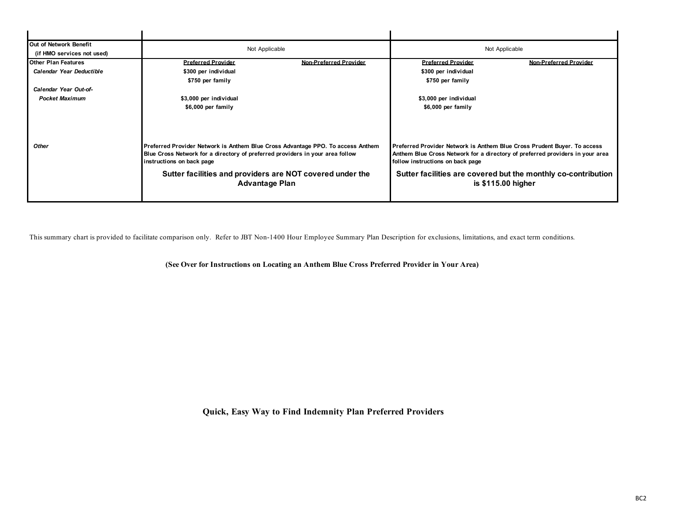| Not Applicable                                                                                                                                                                                |                           | Not Applicable                                                                                                                                                                                |                           |
|-----------------------------------------------------------------------------------------------------------------------------------------------------------------------------------------------|---------------------------|-----------------------------------------------------------------------------------------------------------------------------------------------------------------------------------------------|---------------------------|
|                                                                                                                                                                                               |                           |                                                                                                                                                                                               |                           |
|                                                                                                                                                                                               |                           |                                                                                                                                                                                               | Non-Preferred Provider    |
| \$300 per individual                                                                                                                                                                          |                           | \$300 per individual                                                                                                                                                                          |                           |
| \$750 per family                                                                                                                                                                              |                           | \$750 per family                                                                                                                                                                              |                           |
|                                                                                                                                                                                               |                           |                                                                                                                                                                                               |                           |
| \$3,000 per individual                                                                                                                                                                        |                           | \$3,000 per individual                                                                                                                                                                        |                           |
| \$6,000 per family                                                                                                                                                                            |                           | \$6,000 per family                                                                                                                                                                            |                           |
|                                                                                                                                                                                               |                           |                                                                                                                                                                                               |                           |
| Preferred Provider Network is Anthem Blue Cross Advantage PPO. To access Anthem<br>Blue Cross Network for a directory of preferred providers in your area follow<br>instructions on back page |                           | Preferred Provider Network is Anthem Blue Cross Prudent Buyer. To access<br>Anthem Blue Cross Network for a directory of preferred providers in your area<br>follow instructions on back page |                           |
| Sutter facilities and providers are NOT covered under the<br><b>Advantage Plan</b>                                                                                                            |                           | Sutter facilities are covered but the monthly co-contribution<br>is \$115.00 higher                                                                                                           |                           |
|                                                                                                                                                                                               | <b>Preferred Provider</b> | Non-Preferred Provider                                                                                                                                                                        | <b>Preferred Provider</b> |

This summary chart is provided to facilitate comparison only. Refer to JBT Non-1400 Hour Employee Summary Plan Description for exclusions, limitations, and exact term conditions.

**(See Over for Instructions on Locating an Anthem Blue Cross Preferred Provider in Your Area)** 

**Quick, Easy Way to Find Indemnity Plan Preferred Providers**